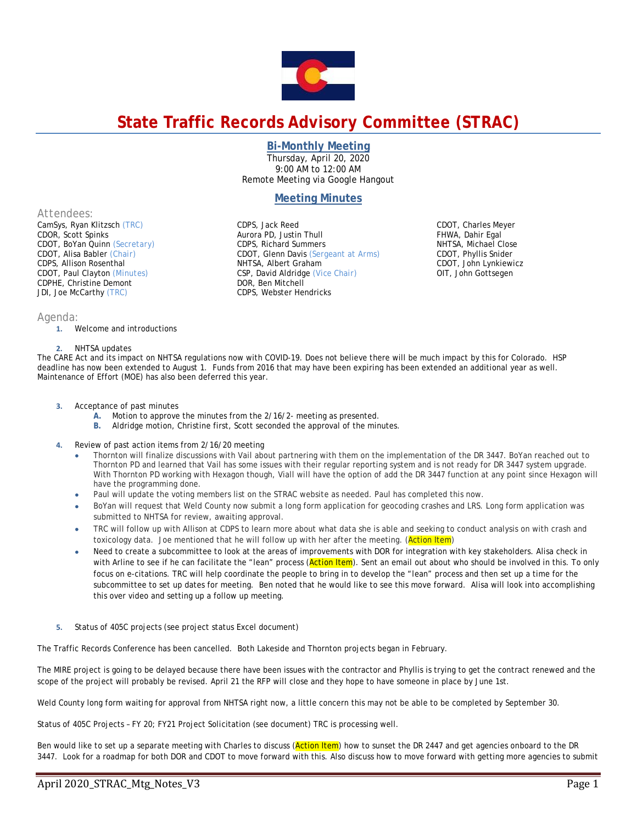

# **State Traffic Records Advisory Committee (STRAC)**

### **Bi-Monthly Meeting**

Thursday, April 20, 2020 9:00 AM to 12:00 AM Remote Meeting via Google Hangout

## **Meeting Minutes**

CDOT, Glenn Davis *(Sergeant at Arms)* 

CDPS, Jack Reed Aurora PD, Justin Thull CDPS, Richard Summers

NHTSA, Albert Graham CSP, David Aldridge *(Vice Chair)*

DOR, Ben Mitchell CDPS, Webster Hendricks

*Attendees:* 

CamSys, Ryan Klitzsch *(TRC)*  CDOR, Scott Spinks CDOT, BoYan Quinn *(Secretary)* CDOT, Alisa Babler *(Chair)* CDPS, Allison Rosenthal CDOT, Paul Clayton *(Minutes)*  CDPHE, Christine Demont JDI, Joe McCarthy *(TRC)* 

### *Agenda:*

**1.** Welcome and introductions

#### **2.** NHTSA updates

The CARE Act and its impact on NHTSA regulations now with COVID-19. Does not believe there will be much impact by this for Colorado. HSP deadline has now been extended to August 1. Funds from 2016 that may have been expiring has been extended an additional year as well. Maintenance of Effort (MOE) has also been deferred this year.

- **3.** Acceptance of past minutes
	- **A.** Motion to approve the minutes from the 2/16/2- meeting as presented.
	- **B.** Aldridge motion, Christine first, Scott seconded the approval of the minutes.
- **4.** Review of past action items from 2/16/20 meeting
	- Thornton will finalize discussions with Vail about partnering with them on the implementation of the DR 3447. BoYan reached out to Thornton PD and learned that Vail has some issues with their regular reporting system and is not ready for DR 3447 system upgrade. With Thornton PD working with Hexagon though, Viall will have the option of add the DR 3447 function at any point since Hexagon will have the programming done.
	- Paul will update the voting members list on the STRAC website as needed. Paul has completed this now.
	- BoYan will request that Weld County now submit a long form application for geocoding crashes and LRS. Long form application was submitted to NHTSA for review, awaiting approval.
	- TRC will follow up with Allison at CDPS to learn more about what data she is able and seeking to conduct analysis on with crash and toxicology data. Joe mentioned that he will follow up with her after the meeting. (Action Item)
	- Need to create a subcommittee to look at the areas of improvements with DOR for integration with key stakeholders. Alisa check in with Arline to see if he can facilitate the "lean" process (Action Item). Sent an email out about who should be involved in this. To only focus on e-citations. TRC will help coordinate the people to bring in to develop the "lean" process and then set up a time for the subcommittee to set up dates for meeting. Ben noted that he would like to see this move forward. Alisa will look into accomplishing this over video and setting up a follow up meeting.
- **5.** Status of 405C projects (see project status Excel document)

The Traffic Records Conference has been cancelled. Both Lakeside and Thornton projects began in February.

The MIRE project is going to be delayed because there have been issues with the contractor and Phyllis is trying to get the contract renewed and the scope of the project will probably be revised. April 21 the RFP will close and they hope to have someone in place by June 1st.

Weld County long form waiting for approval from NHTSA right now, a little concern this may not be able to be completed by September 30.

Status of 405C Projects – FY 20; FY21 Project Solicitation (see document) TRC is processing well.

Ben would like to set up a separate meeting with Charles to discuss (Action Item) how to sunset the DR 2447 and get agencies onboard to the DR 3447. Look for a roadmap for both DOR and CDOT to move forward with this. Also discuss how to move forward with getting more agencies to submit

CDOT, Charles Meyer FHWA, Dahir Egal NHTSA, Michael Close CDOT, Phyllis Snider CDOT, John Lynkiewicz OIT, John Gottsegen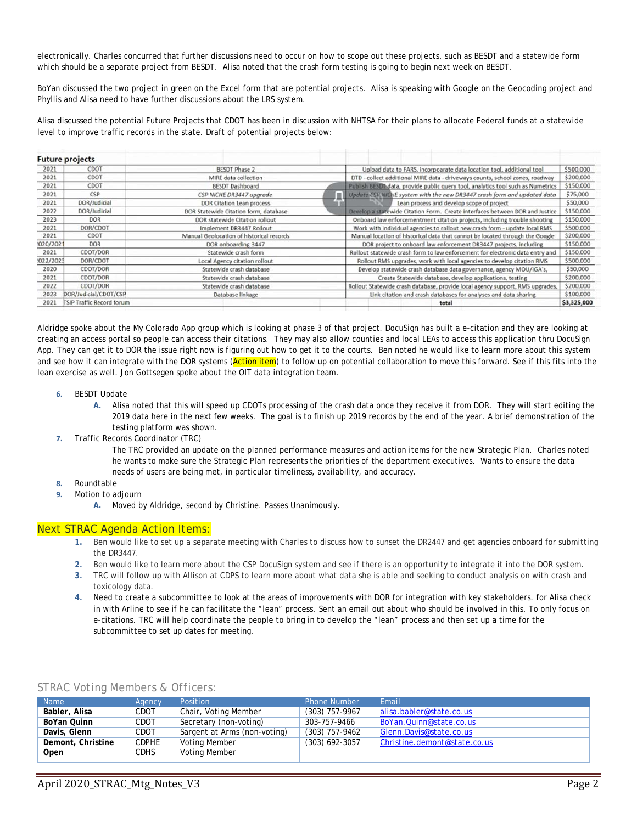electronically. Charles concurred that further discussions need to occur on how to scope out these projects, such as BESDT and a statewide form which should be a separate project from BESDT. Alisa noted that the crash form testing is going to begin next week on BESDT.

BoYan discussed the two project in green on the Excel form that are potential projects. Alisa is speaking with Google on the Geocoding project and Phyllis and Alisa need to have further discussions about the LRS system.

Alisa discussed the potential Future Projects that CDOT has been in discussion with NHTSA for their plans to allocate Federal funds at a statewide level to improve traffic records in the state. Draft of potential projects below:

|           | <b>Future projects</b>           |                      |                                          |                                                                               |                                                                               |                                                                                 |  |           |           |                                                                           |             |  |
|-----------|----------------------------------|----------------------|------------------------------------------|-------------------------------------------------------------------------------|-------------------------------------------------------------------------------|---------------------------------------------------------------------------------|--|-----------|-----------|---------------------------------------------------------------------------|-------------|--|
| 2021      | CDOT                             | <b>BESDT Phase 2</b> |                                          |                                                                               | Upload data to FARS, incorpoarate data location tool, additional tool         |                                                                                 |  |           | \$500,000 |                                                                           |             |  |
| 2021      | CDOT                             |                      | MIRE data collection                     |                                                                               |                                                                               | DTD - collect additional MIRE data - driveways counts, school zones, roadway    |  |           |           | \$200,000                                                                 |             |  |
| 2021      | CDOT                             |                      | <b>BESDT Dashboard</b>                   |                                                                               |                                                                               | Publish BESDT data, provide public query tool, analytics tool such as Numetrics |  |           |           |                                                                           | \$150,000   |  |
| 2021      | CSP                              |                      | ▬<br>CSP NICHE DR3447 upgrade            |                                                                               | Update CSF NICHE system with the new DR3447 crash form and updated data       |                                                                                 |  |           |           | \$75,000                                                                  |             |  |
| 2021      | DOR/Judicial                     |                      | DOR Citation Lean process                |                                                                               |                                                                               | Lean process and develop scope of project                                       |  |           |           | \$50,000                                                                  |             |  |
| 2022      | DOR/Judicial                     |                      | DOR Statewide Citation form, database    |                                                                               |                                                                               | Develop a statewide Citation Form. Create interfaces between DOR and Justice    |  |           |           | \$150,000                                                                 |             |  |
| 2023      | <b>DOR</b>                       |                      | DOR statewide Citation rollout           |                                                                               |                                                                               |                                                                                 |  |           |           | Onboard law enforcementment citation projects, including trouble shooting | \$150,000   |  |
| 2021      | DOR/CDOT                         |                      | Implement DR3447 Rollout                 |                                                                               | Work with individual agencies to rollout new crash form - update local RMS    |                                                                                 |  |           |           | \$500,000                                                                 |             |  |
| 2021      | CDOT                             |                      | Manual Geolocation of historical records |                                                                               |                                                                               | Manual location of historical data that cannot be located through the Google    |  |           |           | \$200,000                                                                 |             |  |
| !020/2021 | <b>DOR</b>                       | DOR onboarding 3447  |                                          | DOR project to onboard law enforcement DR3447 projects, including             |                                                                               |                                                                                 |  | \$150,000 |           |                                                                           |             |  |
| 2021      | CDOT/DOR                         | Statewide crash form |                                          | Rollout statewide crash form to law enforcement for electronic data entry and |                                                                               |                                                                                 |  |           | \$150,000 |                                                                           |             |  |
| 1022/2023 | DOR/CDOT                         |                      | Local Agency citation rollout            |                                                                               |                                                                               |                                                                                 |  |           |           | Rollout RMS upgrades, work with local agencies to develop citation RMS    | \$500,000   |  |
| 2020      | CDOT/DOR                         |                      | Statewide crash database                 |                                                                               |                                                                               |                                                                                 |  |           |           | Develop statewide crash database data governance, agency MOU/IGA's,       | \$50,000    |  |
| 2021      | CDOT/DOR                         |                      | Statewide crash database                 |                                                                               | Create Statewide database, develop applications, testing                      |                                                                                 |  |           |           | \$200,000                                                                 |             |  |
| 2022      | CDOT/DOR                         |                      | Statewide crash database                 |                                                                               | Rollout Statewide crash database, provide local agency support, RMS upgrades, |                                                                                 |  |           |           | \$200,000                                                                 |             |  |
| 2023      | DOR/Judicial/CDOT/CSP            | Database linkage     |                                          | Link citation and crash databases for analyses and data sharing               |                                                                               |                                                                                 |  | \$100,000 |           |                                                                           |             |  |
| 2021      | <b>TSIP Traffic Record forum</b> |                      |                                          |                                                                               |                                                                               |                                                                                 |  | total     |           |                                                                           | \$3,325,000 |  |
|           |                                  |                      |                                          |                                                                               |                                                                               |                                                                                 |  |           |           |                                                                           |             |  |

Aldridge spoke about the My Colorado App group which is looking at phase 3 of that project. DocuSign has built a e-citation and they are looking at creating an access portal so people can access their citations. They may also allow counties and local LEAs to access this application thru DocuSign App. They can get it to DOR the issue right now is figuring out how to get it to the courts. Ben noted he would like to learn more about this system and see how it can integrate with the DOR systems (Action item) to follow up on potential collaboration to move this forward. See if this fits into the lean exercise as well. Jon Gottsegen spoke about the OIT data integration team.

- **6.** BESDT Update
	- **A.** Alisa noted that this will speed up CDOTs processing of the crash data once they receive it from DOR. They will start editing the 2019 data here in the next few weeks. The goal is to finish up 2019 records by the end of the year. A brief demonstration of the testing platform was shown.
- **7.** Traffic Records Coordinator (TRC)

The TRC provided an update on the planned performance measures and action items for the new Strategic Plan. Charles noted he wants to make sure the Strategic Plan represents the priorities of the department executives. Wants to ensure the data needs of users are being met, in particular timeliness, availability, and accuracy.

- **8.** Roundtable
- **9.** Motion to adjourn
	- **A.** Moved by Aldridge, second by Christine. Passes Unanimously.

### *Next STRAC Agenda Action Items:*

- **1.** Ben would like to set up a separate meeting with Charles to discuss how to sunset the DR2447 and get agencies onboard for submitting the DR3447.
- **2.** Ben would like to learn more about the CSP DocuSign system and see if there is an opportunity to integrate it into the DOR system.
- **3.** TRC will follow up with Allison at CDPS to learn more about what data she is able and seeking to conduct analysis on with crash and toxicology data.
- **4.** Need to create a subcommittee to look at the areas of improvements with DOR for integration with key stakeholders. for Alisa check in with Arline to see if he can facilitate the "lean" process. Sent an email out about who should be involved in this. To only focus on e-citations. TRC will help coordinate the people to bring in to develop the "lean" process and then set up a time for the subcommittee to set up dates for meeting.

| <b>Name</b>       | Agency       | <b>Position</b>              | <b>Phone Number</b> | Email                        |
|-------------------|--------------|------------------------------|---------------------|------------------------------|
| Babler, Alisa     | CDOT         | Chair, Voting Member         | $(303)$ 757-9967    | alisa.babler@state.co.us     |
| BoYan Quinn       | CDOT         | Secretary (non-voting)       | 303-757-9466        | BoYan. Quinn@state.co.us     |
| Davis, Glenn      | <b>CDOT</b>  | Sargent at Arms (non-voting) | $(303)$ 757-9462    | Glenn.Davis@state.co.us      |
| Demont, Christine | <b>CDPHE</b> | Voting Member                | $(303)$ 692-3057    | Christine.demont@state.co.us |
| Open              | <b>CDHS</b>  | Voting Member                |                     |                              |

*STRAC Voting Members & Officers:*